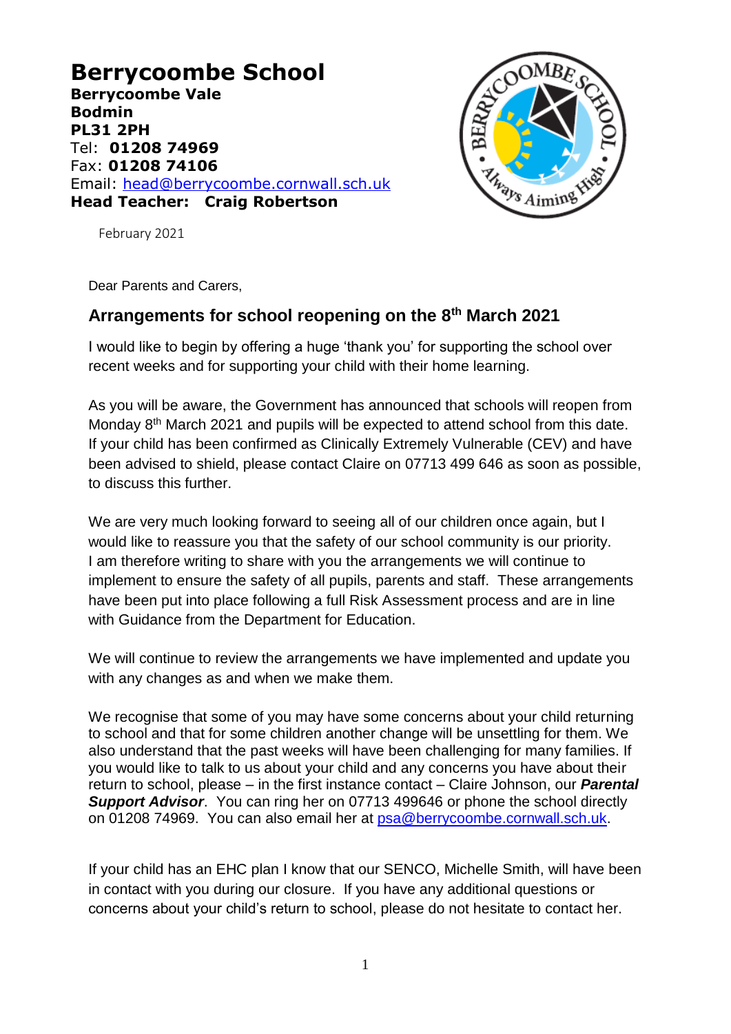**Berrycoombe School Berrycoombe Vale Bodmin PL31 2PH** Tel: **01208 74969** Fax: **01208 74106** Email: [head@berrycoombe.cornwall.sch.uk](mailto:head@berrycoombe.cornwall.sch.uk) **Head Teacher: Craig Robertson**



February 2021

Dear Parents and Carers,

# **Arrangements for school reopening on the 8th March 2021**

I would like to begin by offering a huge 'thank you' for supporting the school over recent weeks and for supporting your child with their home learning.

As you will be aware, the Government has announced that schools will reopen from Monday 8<sup>th</sup> March 2021 and pupils will be expected to attend school from this date. If your child has been confirmed as Clinically Extremely Vulnerable (CEV) and have been advised to shield, please contact Claire on 07713 499 646 as soon as possible, to discuss this further.

We are very much looking forward to seeing all of our children once again, but I would like to reassure you that the safety of our school community is our priority. I am therefore writing to share with you the arrangements we will continue to implement to ensure the safety of all pupils, parents and staff. These arrangements have been put into place following a full Risk Assessment process and are in line with Guidance from the Department for Education.

We will continue to review the arrangements we have implemented and update you with any changes as and when we make them.

We recognise that some of you may have some concerns about your child returning to school and that for some children another change will be unsettling for them. We also understand that the past weeks will have been challenging for many families. If you would like to talk to us about your child and any concerns you have about their return to school, please – in the first instance contact – Claire Johnson, our *Parental Support Advisor*. You can ring her on 07713 499646 or phone the school directly on 01208 74969. You can also email her at [psa@berrycoombe.cornwall.sch.uk.](mailto:psa@berrycoombe.cornwall.sch.uk)

If your child has an EHC plan I know that our SENCO, Michelle Smith, will have been in contact with you during our closure. If you have any additional questions or concerns about your child's return to school, please do not hesitate to contact her.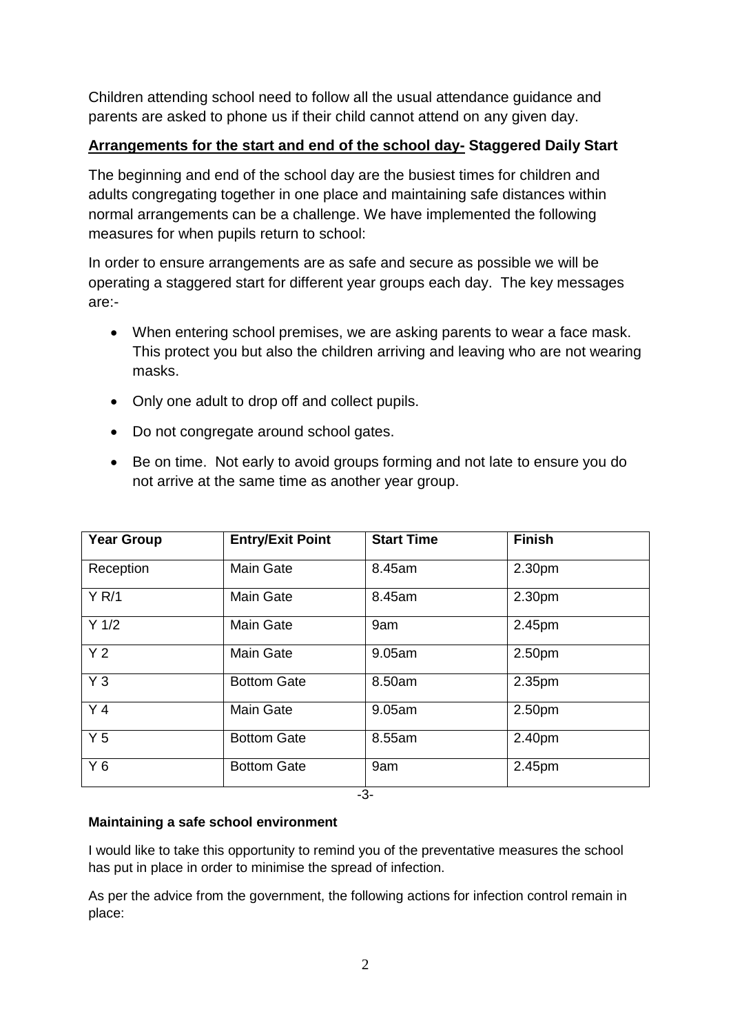Children attending school need to follow all the usual attendance guidance and parents are asked to phone us if their child cannot attend on any given day.

## **Arrangements for the start and end of the school day- Staggered Daily Start**

The beginning and end of the school day are the busiest times for children and adults congregating together in one place and maintaining safe distances within normal arrangements can be a challenge. We have implemented the following measures for when pupils return to school:

In order to ensure arrangements are as safe and secure as possible we will be operating a staggered start for different year groups each day. The key messages are:-

- When entering school premises, we are asking parents to wear a face mask. This protect you but also the children arriving and leaving who are not wearing masks.
- Only one adult to drop off and collect pupils.
- Do not congregate around school gates.
- Be on time. Not early to avoid groups forming and not late to ensure you do not arrive at the same time as another year group.

| <b>Year Group</b> | <b>Entry/Exit Point</b> | <b>Start Time</b> | <b>Finish</b> |
|-------------------|-------------------------|-------------------|---------------|
| Reception         | <b>Main Gate</b>        | 8.45am            | 2.30pm        |
| Y R/1             | <b>Main Gate</b>        | 8.45am            | 2.30pm        |
| $Y$ 1/2           | <b>Main Gate</b>        | 9am               | 2.45pm        |
| Y <sub>2</sub>    | <b>Main Gate</b>        | 9.05am            | 2.50pm        |
| $Y_3$             | <b>Bottom Gate</b>      | 8.50am            | 2.35pm        |
| Y <sub>4</sub>    | <b>Main Gate</b>        | 9.05am            | 2.50pm        |
| Y <sub>5</sub>    | <b>Bottom Gate</b>      | 8.55am            | 2.40pm        |
| $Y_6$             | <b>Bottom Gate</b>      | 9am               | 2.45pm        |
| $\sim$            |                         |                   |               |

#### -3-

### **Maintaining a safe school environment**

I would like to take this opportunity to remind you of the preventative measures the school has put in place in order to minimise the spread of infection.

As per the advice from the government, the following actions for infection control remain in place: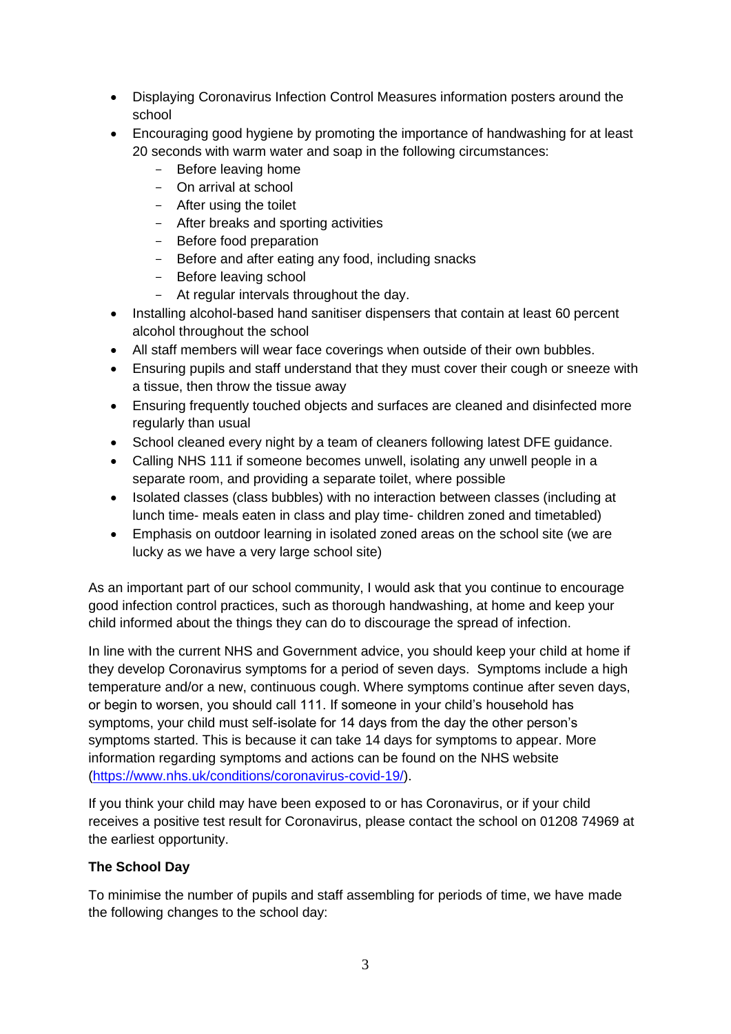- Displaying Coronavirus Infection Control Measures information posters around the school
- Encouraging good hygiene by promoting the importance of handwashing for at least 20 seconds with warm water and soap in the following circumstances:
	- Before leaving home
	- On arrival at school
	- After using the toilet
	- After breaks and sporting activities
	- Before food preparation
	- Before and after eating any food, including snacks
	- Before leaving school
	- At regular intervals throughout the day.
- Installing alcohol-based hand sanitiser dispensers that contain at least 60 percent alcohol throughout the school
- All staff members will wear face coverings when outside of their own bubbles.
- Ensuring pupils and staff understand that they must cover their cough or sneeze with a tissue, then throw the tissue away
- Ensuring frequently touched objects and surfaces are cleaned and disinfected more regularly than usual
- School cleaned every night by a team of cleaners following latest DFE guidance.
- Calling NHS 111 if someone becomes unwell, isolating any unwell people in a separate room, and providing a separate toilet, where possible
- Isolated classes (class bubbles) with no interaction between classes (including at lunch time- meals eaten in class and play time- children zoned and timetabled)
- Emphasis on outdoor learning in isolated zoned areas on the school site (we are lucky as we have a very large school site)

As an important part of our school community, I would ask that you continue to encourage good infection control practices, such as thorough handwashing, at home and keep your child informed about the things they can do to discourage the spread of infection.

In line with the current NHS and Government advice, you should keep your child at home if they develop Coronavirus symptoms for a period of seven days. Symptoms include a high temperature and/or a new, continuous cough. Where symptoms continue after seven days, or begin to worsen, you should call 111. If someone in your child's household has symptoms, your child must self-isolate for 14 days from the day the other person's symptoms started. This is because it can take 14 days for symptoms to appear. More information regarding symptoms and actions can be found on the NHS website [\(https://www.nhs.uk/conditions/coronavirus-covid-19/\)](https://www.nhs.uk/conditions/coronavirus-covid-19/).

If you think your child may have been exposed to or has Coronavirus, or if your child receives a positive test result for Coronavirus, please contact the school on 01208 74969 at the earliest opportunity.

### **The School Day**

To minimise the number of pupils and staff assembling for periods of time, we have made the following changes to the school day: